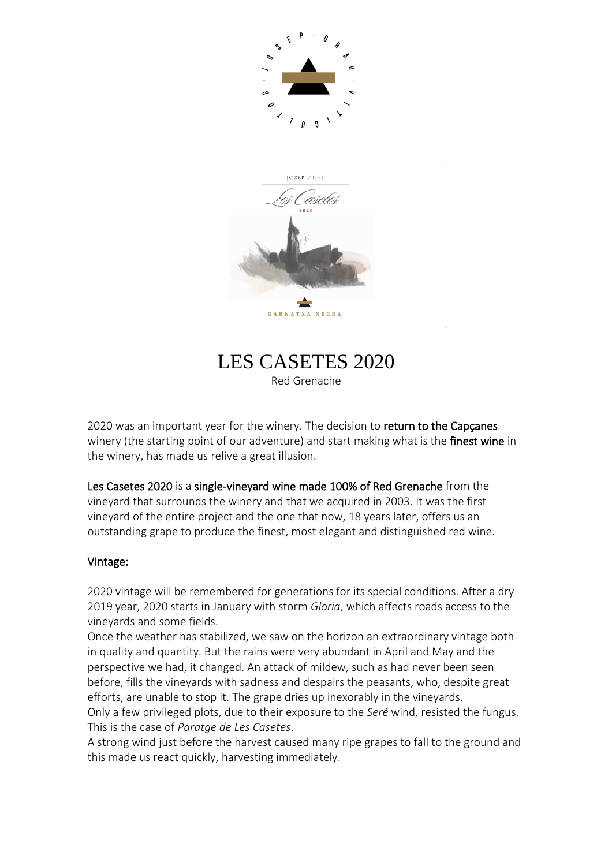



# LES CASETES 2020

Red Grenache

2020 was an important year for the winery. The decision to return to the Capçanes winery (the starting point of our adventure) and start making what is the **finest wine** in the winery, has made us relive a great illusion.

Les Casetes 2020 is a single-vineyard wine made 100% of Red Grenache from the vineyard that surrounds the winery and that we acquired in 2003. It was the first vineyard of the entire project and the one that now, 18 years later, offers us an outstanding grape to produce the finest, most elegant and distinguished red wine.

### Vintage:

2020 vintage will be remembered for generations for its special conditions. After a dry 2019 year, 2020 starts in January with storm *Gloria*, which affects roads access to the vineyards and some fields.

Once the weather has stabilized, we saw on the horizon an extraordinary vintage both in quality and quantity. But the rains were very abundant in April and May and the perspective we had, it changed. An attack of mildew, such as had never been seen before, fills the vineyards with sadness and despairs the peasants, who, despite great efforts, are unable to stop it. The grape dries up inexorably in the vineyards. Only a few privileged plots, due to their exposure to the *Seré* wind, resisted the fungus.

This is the case of *Paratge de Les Casetes*.

A strong wind just before the harvest caused many ripe grapes to fall to the ground and this made us react quickly, harvesting immediately.